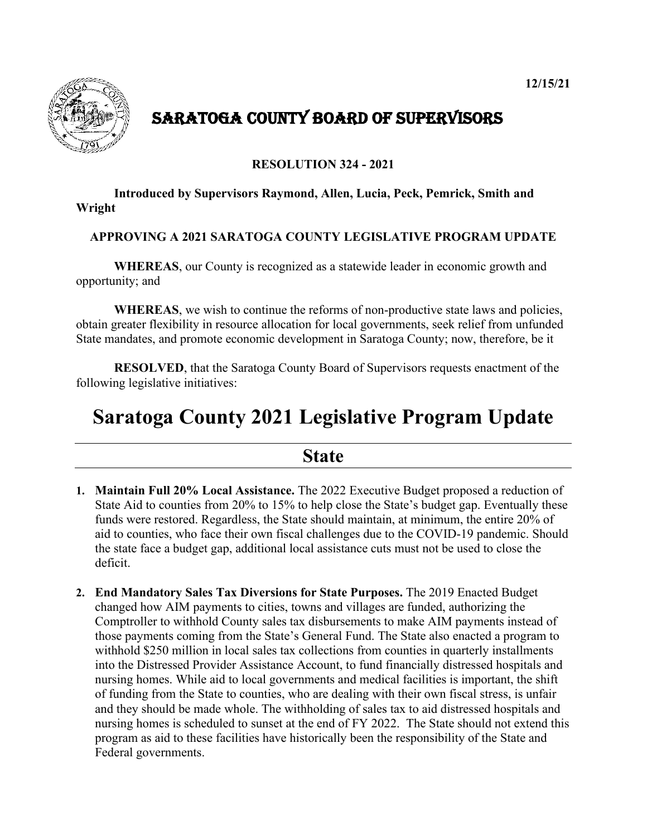

## SARATOGA COUNTY BOARD OF SUPERVISORS

#### **RESOLUTION 324 - 2021**

#### **Introduced by Supervisors Raymond, Allen, Lucia, Peck, Pemrick, Smith and Wright**

#### **APPROVING A 2021 SARATOGA COUNTY LEGISLATIVE PROGRAM UPDATE**

**WHEREAS**, our County is recognized as a statewide leader in economic growth and opportunity; and

**WHEREAS**, we wish to continue the reforms of non-productive state laws and policies, obtain greater flexibility in resource allocation for local governments, seek relief from unfunded State mandates, and promote economic development in Saratoga County; now, therefore, be it

**RESOLVED**, that the Saratoga County Board of Supervisors requests enactment of the following legislative initiatives:

# **Saratoga County 2021 Legislative Program Update**

### **State**

- **1. Maintain Full 20% Local Assistance.** The 2022 Executive Budget proposed a reduction of State Aid to counties from 20% to 15% to help close the State's budget gap. Eventually these funds were restored. Regardless, the State should maintain, at minimum, the entire 20% of aid to counties, who face their own fiscal challenges due to the COVID-19 pandemic. Should the state face a budget gap, additional local assistance cuts must not be used to close the deficit.
- **2. End Mandatory Sales Tax Diversions for State Purposes.** The 2019 Enacted Budget changed how AIM payments to cities, towns and villages are funded, authorizing the Comptroller to withhold County sales tax disbursements to make AIM payments instead of those payments coming from the State's General Fund. The State also enacted a program to withhold \$250 million in local sales tax collections from counties in quarterly installments into the Distressed Provider Assistance Account, to fund financially distressed hospitals and nursing homes. While aid to local governments and medical facilities is important, the shift of funding from the State to counties, who are dealing with their own fiscal stress, is unfair and they should be made whole. The withholding of sales tax to aid distressed hospitals and nursing homes is scheduled to sunset at the end of FY 2022. The State should not extend this program as aid to these facilities have historically been the responsibility of the State and Federal governments.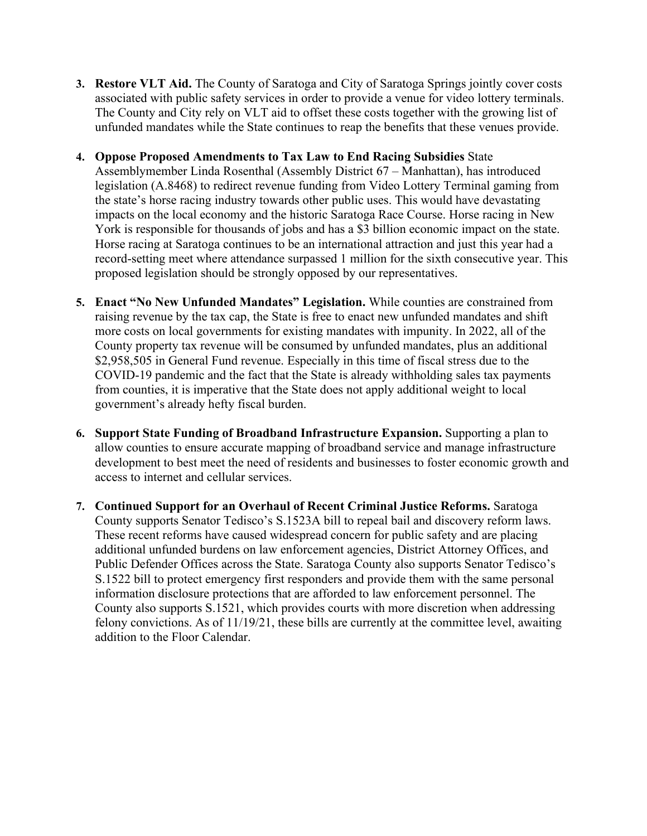- **3. Restore VLT Aid.** The County of Saratoga and City of Saratoga Springs jointly cover costs associated with public safety services in order to provide a venue for video lottery terminals. The County and City rely on VLT aid to offset these costs together with the growing list of unfunded mandates while the State continues to reap the benefits that these venues provide.
- **4. Oppose Proposed Amendments to Tax Law to End Racing Subsidies** State Assemblymember Linda Rosenthal (Assembly District 67 – Manhattan), has introduced legislation (A.8468) to redirect revenue funding from Video Lottery Terminal gaming from the state's horse racing industry towards other public uses. This would have devastating impacts on the local economy and the historic Saratoga Race Course. Horse racing in New York is responsible for thousands of jobs and has a \$3 billion economic impact on the state. Horse racing at Saratoga continues to be an international attraction and just this year had a record-setting meet where attendance surpassed 1 million for the sixth consecutive year. This proposed legislation should be strongly opposed by our representatives.
- **5. Enact "No New Unfunded Mandates" Legislation.** While counties are constrained from raising revenue by the tax cap, the State is free to enact new unfunded mandates and shift more costs on local governments for existing mandates with impunity. In 2022, all of the County property tax revenue will be consumed by unfunded mandates, plus an additional \$2,958,505 in General Fund revenue. Especially in this time of fiscal stress due to the COVID-19 pandemic and the fact that the State is already withholding sales tax payments from counties, it is imperative that the State does not apply additional weight to local government's already hefty fiscal burden.
- **6. Support State Funding of Broadband Infrastructure Expansion.** Supporting a plan to allow counties to ensure accurate mapping of broadband service and manage infrastructure development to best meet the need of residents and businesses to foster economic growth and access to internet and cellular services.
- **7. Continued Support for an Overhaul of Recent Criminal Justice Reforms.** Saratoga County supports Senator Tedisco's S.1523A bill to repeal bail and discovery reform laws. These recent reforms have caused widespread concern for public safety and are placing additional unfunded burdens on law enforcement agencies, District Attorney Offices, and Public Defender Offices across the State. Saratoga County also supports Senator Tedisco's S.1522 bill to protect emergency first responders and provide them with the same personal information disclosure protections that are afforded to law enforcement personnel. The County also supports S.1521, which provides courts with more discretion when addressing felony convictions. As of 11/19/21, these bills are currently at the committee level, awaiting addition to the Floor Calendar.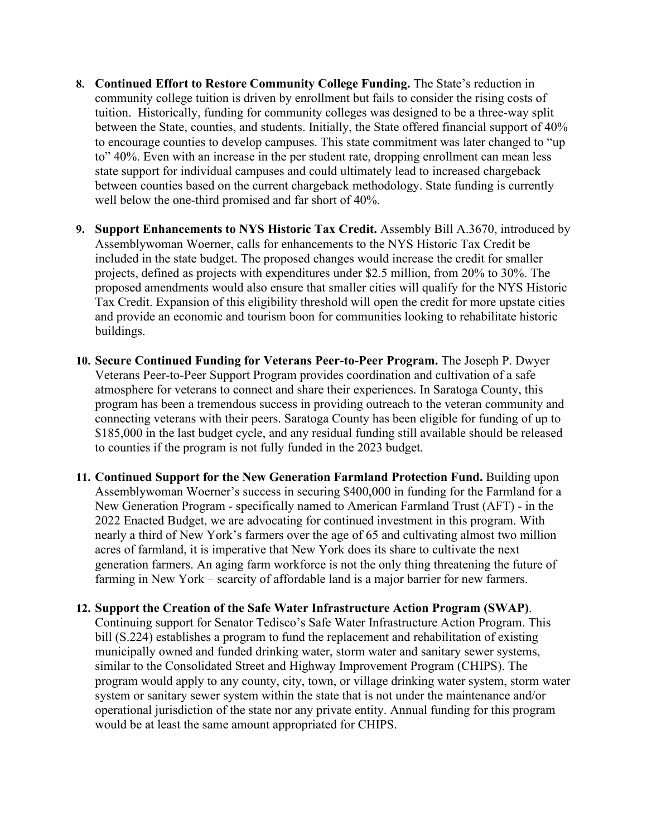- **8. Continued Effort to Restore Community College Funding.** The State's reduction in community college tuition is driven by enrollment but fails to consider the rising costs of tuition. Historically, funding for community colleges was designed to be a three-way split between the State, counties, and students. Initially, the State offered financial support of 40% to encourage counties to develop campuses. This state commitment was later changed to "up to" 40%. Even with an increase in the per student rate, dropping enrollment can mean less state support for individual campuses and could ultimately lead to increased chargeback between counties based on the current chargeback methodology. State funding is currently well below the one-third promised and far short of 40%.
- **9. Support Enhancements to NYS Historic Tax Credit.** Assembly Bill A.3670, introduced by Assemblywoman Woerner, calls for enhancements to the NYS Historic Tax Credit be included in the state budget. The proposed changes would increase the credit for smaller projects, defined as projects with expenditures under \$2.5 million, from 20% to 30%. The proposed amendments would also ensure that smaller cities will qualify for the NYS Historic Tax Credit. Expansion of this eligibility threshold will open the credit for more upstate cities and provide an economic and tourism boon for communities looking to rehabilitate historic buildings.
- **10. Secure Continued Funding for Veterans Peer-to-Peer Program.** The Joseph P. Dwyer Veterans Peer-to-Peer Support Program provides coordination and cultivation of a safe atmosphere for veterans to connect and share their experiences. In Saratoga County, this program has been a tremendous success in providing outreach to the veteran community and connecting veterans with their peers. Saratoga County has been eligible for funding of up to \$185,000 in the last budget cycle, and any residual funding still available should be released to counties if the program is not fully funded in the 2023 budget.
- **11. Continued Support for the New Generation Farmland Protection Fund.** Building upon Assemblywoman Woerner's success in securing \$400,000 in funding for the Farmland for a New Generation Program - specifically named to American Farmland Trust (AFT) - in the 2022 Enacted Budget, we are advocating for continued investment in this program. With nearly a third of New York's farmers over the age of 65 and cultivating almost two million acres of farmland, it is imperative that New York does its share to cultivate the next generation farmers. An aging farm workforce is not the only thing threatening the future of farming in New York – scarcity of affordable land is a major barrier for new farmers.
- **12. Support the Creation of the Safe Water Infrastructure Action Program (SWAP)**. Continuing support for Senator Tedisco's Safe Water Infrastructure Action Program. This bill (S.224) establishes a program to fund the replacement and rehabilitation of existing municipally owned and funded drinking water, storm water and sanitary sewer systems, similar to the Consolidated Street and Highway Improvement Program (CHIPS). The program would apply to any county, city, town, or village drinking water system, storm water system or sanitary sewer system within the state that is not under the maintenance and/or operational jurisdiction of the state nor any private entity. Annual funding for this program would be at least the same amount appropriated for CHIPS.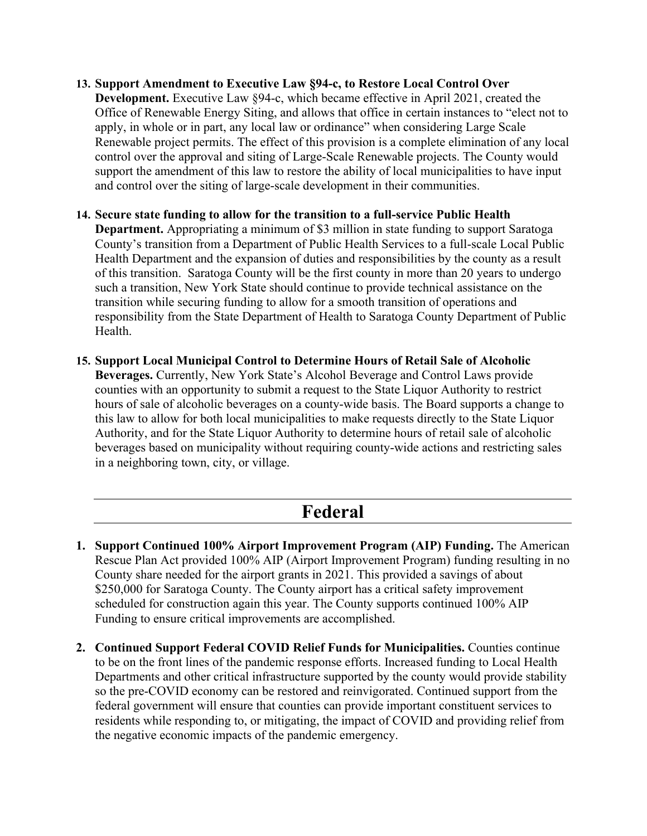- **13. Support Amendment to Executive Law §94-c, to Restore Local Control Over Development.** Executive Law §94-c, which became effective in April 2021, created the Office of Renewable Energy Siting, and allows that office in certain instances to "elect not to apply, in whole or in part, any local law or ordinance" when considering Large Scale Renewable project permits. The effect of this provision is a complete elimination of any local control over the approval and siting of Large-Scale Renewable projects. The County would support the amendment of this law to restore the ability of local municipalities to have input and control over the siting of large-scale development in their communities.
- **14. Secure state funding to allow for the transition to a full-service Public Health Department.** Appropriating a minimum of \$3 million in state funding to support Saratoga County's transition from a Department of Public Health Services to a full-scale Local Public Health Department and the expansion of duties and responsibilities by the county as a result of this transition. Saratoga County will be the first county in more than 20 years to undergo such a transition, New York State should continue to provide technical assistance on the transition while securing funding to allow for a smooth transition of operations and responsibility from the State Department of Health to Saratoga County Department of Public Health.
- **15. Support Local Municipal Control to Determine Hours of Retail Sale of Alcoholic Beverages.** Currently, New York State's Alcohol Beverage and Control Laws provide counties with an opportunity to submit a request to the State Liquor Authority to restrict hours of sale of alcoholic beverages on a county-wide basis. The Board supports a change to this law to allow for both local municipalities to make requests directly to the State Liquor Authority, and for the State Liquor Authority to determine hours of retail sale of alcoholic beverages based on municipality without requiring county-wide actions and restricting sales in a neighboring town, city, or village.

### **Federal**

- **1. Support Continued 100% Airport Improvement Program (AIP) Funding.** The American Rescue Plan Act provided 100% AIP (Airport Improvement Program) funding resulting in no County share needed for the airport grants in 2021. This provided a savings of about \$250,000 for Saratoga County. The County airport has a critical safety improvement scheduled for construction again this year. The County supports continued 100% AIP Funding to ensure critical improvements are accomplished.
- **2. Continued Support Federal COVID Relief Funds for Municipalities.** Counties continue to be on the front lines of the pandemic response efforts. Increased funding to Local Health Departments and other critical infrastructure supported by the county would provide stability so the pre-COVID economy can be restored and reinvigorated. Continued support from the federal government will ensure that counties can provide important constituent services to residents while responding to, or mitigating, the impact of COVID and providing relief from the negative economic impacts of the pandemic emergency.